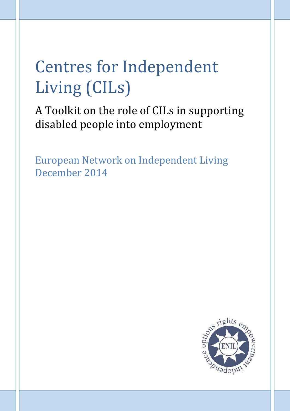# Centres for Independent Living (CILs)

A Toolkit on the role of CILs in supporting disabled people into employment

European Network on Independent Living December 2014

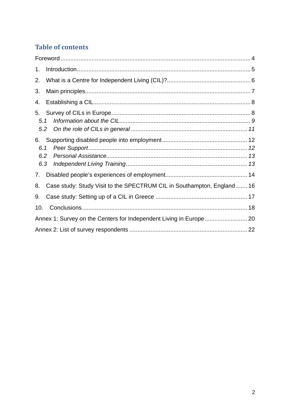# **Table of contents**

| 1.                |                                                                        |  |  |  |
|-------------------|------------------------------------------------------------------------|--|--|--|
| 2.                |                                                                        |  |  |  |
| 3.                |                                                                        |  |  |  |
| 4.                |                                                                        |  |  |  |
| 5.<br>5.1<br>5.2  |                                                                        |  |  |  |
| 6.1<br>6.2<br>6.3 |                                                                        |  |  |  |
| 7.                |                                                                        |  |  |  |
| 8.                | Case study: Study Visit to the SPECTRUM CIL in Southampton, England 16 |  |  |  |
| 9.                |                                                                        |  |  |  |
| 10.               |                                                                        |  |  |  |
|                   |                                                                        |  |  |  |
|                   |                                                                        |  |  |  |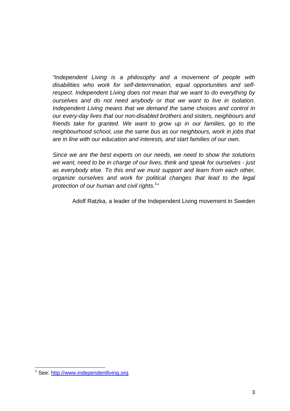*"Independent Living is a philosophy and a movement of people with disabilities who work for self-determination, equal opportunities and selfrespect. Independent Living does not mean that we want to do everything by ourselves and do not need anybody or that we want to live in isolation. Independent Living means that we demand the same choices and control in our every-day lives that our non-disabled brothers and sisters, neighbours and friends take for granted. We want to grow up in our families, go to the neighbourhood school, use the same bus as our neighbours, work in jobs that are in line with our education and interests, and start families of our own.*

*Since we are the best experts on our needs, we need to show the solutions we want, need to be in charge of our lives, think and speak for ourselves - just as everybody else. To this end we must support and learn from each other, organize ourselves and work for political changes that lead to the legal protection of our human and civil rights.* 1 *"*

Adolf Ratzka, a leader of the Independent Living movement in Sweden

<sup>1</sup> See: http://www.independentliving.org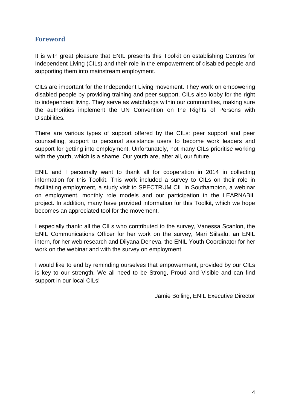## **Foreword**

It is with great pleasure that ENIL presents this Toolkit on establishing Centres for Independent Living (CILs) and their role in the empowerment of disabled people and supporting them into mainstream employment.

CILs are important for the Independent Living movement. They work on empowering disabled people by providing training and peer support. CILs also lobby for the right to independent living. They serve as watchdogs within our communities, making sure the authorities implement the UN Convention on the Rights of Persons with Disabilities.

There are various types of support offered by the CILs: peer support and peer counselling, support to personal assistance users to become work leaders and support for getting into employment. Unfortunately, not many CILs prioritise working with the youth, which is a shame. Our youth are, after all, our future.

ENIL and I personally want to thank all for cooperation in 2014 in collecting information for this Toolkit. This work included a survey to CILs on their role in facilitating employment, a study visit to SPECTRUM CIL in Southampton, a webinar on employment, monthly role models and our participation in the LEARNABIL project. In addition, many have provided information for this Toolkit, which we hope becomes an appreciated tool for the movement.

I especially thank: all the CILs who contributed to the survey, Vanessa Scanlon, the ENIL Communications Officer for her work on the survey, Mari Siilsalu, an ENIL intern, for her web research and Dilyana Deneva, the ENIL Youth Coordinator for her work on the webinar and with the survey on employment.

I would like to end by reminding ourselves that empowerment, provided by our CILs is key to our strength. We all need to be Strong, Proud and Visible and can find support in our local CILs!

Jamie Bolling, ENIL Executive Director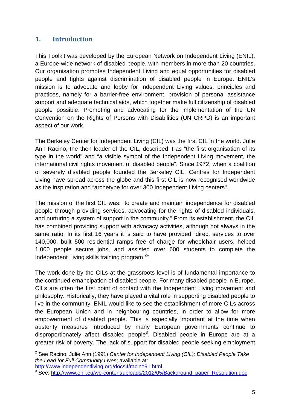## **1. Introduction**

This Toolkit was developed by the European Network on Independent Living (ENIL), a Europe-wide network of disabled people, with members in more than 20 countries. Our organisation promotes Independent Living and equal opportunities for disabled people and fights against discrimination of disabled people in Europe. ENIL's mission is to advocate and lobby for Independent Living values, principles and practices, namely for a barrier-free environment, provision of personal assistance support and adequate technical aids, which together make full citizenship of disabled people possible. Promoting and advocating for the implementation of the UN Convention on the Rights of Persons with Disabilities (UN CRPD) is an important aspect of our work.

The Berkeley Center for Independent Living (CIL) was the first CIL in the world. Julie Ann Racino, the then leader of the CIL, described it as "the first organisation of its type in the world" and "a visible symbol of the Independent Living movement, the international civil rights movement of disabled people". Since 1972, when a coalition of severely disabled people founded the Berkeley CIL, Centres for Independent Living have spread across the globe and this first CIL is now recognised worldwide as the inspiration and "archetype for over 300 Independent Living centers".

The mission of the first CIL was: "to create and maintain independence for disabled people through providing services, advocating for the rights of disabled individuals, and nurturing a system of support in the community." From its establishment, the CIL has combined providing support with advocacy activities, although not always in the same ratio. In its first 16 years it is said to have provided "direct services to over 140,000, built 500 residential ramps free of charge for wheelchair users, helped 1,000 people secure jobs, and assisted over 600 students to complete the Independent Living skills training program.<sup>2</sup>"

The work done by the CILs at the grassroots level is of fundamental importance to the continued emancipation of disabled people. For many disabled people in Europe, CILs are often the first point of contact with the Independent Living movement and philosophy. Historically, they have played a vital role in supporting disabled people to live in the community. ENIL would like to see the establishment of more CILs across the European Union and in neighbouring countries, in order to allow for more empowerment of disabled people. This is especially important at the time when austerity measures introduced by many European governments continue to disproportionately affect disabled people<sup>3</sup>. Disabled people in Europe are at a greater risk of poverty. The lack of support for disabled people seeking employment

<sup>2</sup> See Racino, Julie Ann (1991) *Center for Independent Living (CIL): Disabled People Take the Lead for Full Community Lives*; available at:

http://www.independentliving.org/docs4/racino91.html

<sup>&</sup>lt;sup>3</sup> See: http://www.enil.eu/wp-content/uploads/2012/05/Background\_paper\_Resolution.doc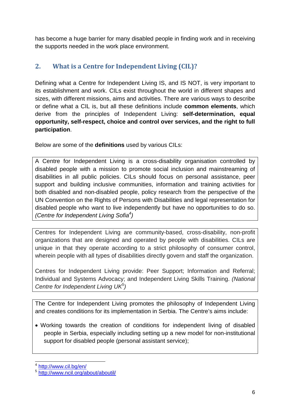has become a huge barrier for many disabled people in finding work and in receiving the supports needed in the work place environment.

## **2. What is a Centre for Independent Living (CIL)?**

Defining what a Centre for Independent Living IS, and IS NOT, is very important to its establishment and work. CILs exist throughout the world in different shapes and sizes, with different missions, aims and activities. There are various ways to describe or define what a CIL is, but all these definitions include **common elements**, which derive from the principles of Independent Living: **self-determination, equal opportunity, self-respect, choice and control over services, and the right to full participation**.

Below are some of the **definitions** used by various CILs:

A Centre for Independent Living is a cross-disability organisation controlled by disabled people with a mission to promote social inclusion and mainstreaming of disabilities in all public policies. CILs should focus on personal assistance, peer support and building inclusive communities, information and training activities for both disabled and non-disabled people, policy research from the perspective of the UN Convention on the Rights of Persons with Disabilities and legal representation for disabled people who want to live independently but have no opportunities to do so. *(Centre for Independent Living Sofia<sup>4</sup> )*

Centres for Independent Living are community-based, cross-disability, non-profit organizations that are designed and operated by people with disabilities. CILs are unique in that they operate according to a strict philosophy of consumer control, wherein people with all types of disabilities directly govern and staff the organization.

Centres for Independent Living provide: Peer Support; Information and Referral; Individual and Systems Advocacy; and Independent Living Skills Training. *(National Centre for Independent Living UK<sup>5</sup> )*

The Centre for Independent Living promotes the philosophy of Independent Living and creates conditions for its implementation in Serbia. The Centre's aims include:

 Working towards the creation of conditions for independent living of disabled people in Serbia, especially including setting up a new model for non-institutional support for disabled people (personal assistant service);

<sup>4</sup> http://www.cil.bg/en/

<sup>5</sup> http://www.ncil.org/about/aboutil/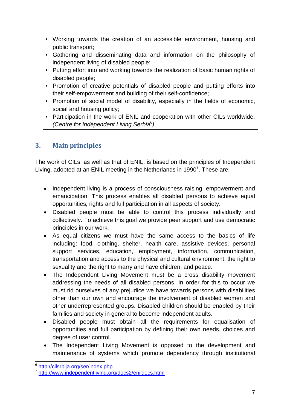- Working towards the creation of an accessible environment, housing and public transport;
- Gathering and disseminating data and information on the philosophy of independent living of disabled people;
- Putting effort into and working towards the realization of basic human rights of disabled people;
- Promotion of creative potentials of disabled people and putting efforts into their self-empowerment and building of their self-confidence;
- Promotion of social model of disability, especially in the fields of economic, social and housing policy;
- Participation in the work of ENIL and cooperation with other CILs worldwide. *(Centre for Independent Living Serbia<sup>6</sup> )*

## **3. Main principles**

The work of CILs, as well as that of ENIL, is based on the principles of Independent Living, adopted at an ENIL meeting in the Netherlands in 1990<sup>7</sup>. These are:

- Independent living is a process of consciousness raising, empowerment and emancipation. This process enables all disabled persons to achieve equal opportunities, rights and full participation in all aspects of society.
- Disabled people must be able to control this process individually and collectively. To achieve this goal we provide peer support and use democratic principles in our work.
- As equal citizens we must have the same access to the basics of life including: food, clothing, shelter, health care, assistive devices, personal support services, education, employment, information, communication, transportation and access to the physical and cultural environment, the right to sexuality and the right to marry and have children, and peace.
- The Independent Living Movement must be a cross disability movement addressing the needs of all disabled persons. In order for this to occur we must rid ourselves of any prejudice we have towards persons with disabilities other than our own and encourage the involvement of disabled women and other underrepresented groups. Disabled children should be enabled by their families and society in general to become independent adults.
- Disabled people must obtain all the requirements for equalisation of opportunities and full participation by defining their own needs, choices and degree of user control.
- The Independent Living Movement is opposed to the development and maintenance of systems which promote dependency through institutional

<sup>&</sup>lt;sup>6</sup> http://cilsrbija.org/ser/index.php

<sup>7</sup> http://www.independentliving.org/docs2/enildocs.html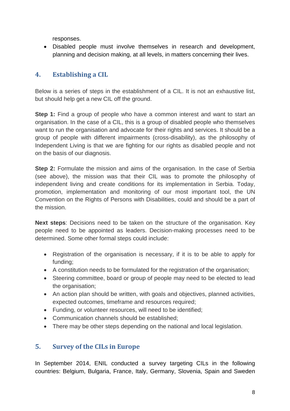responses.

 Disabled people must involve themselves in research and development, planning and decision making, at all levels, in matters concerning their lives.

## **4. Establishing a CIL**

Below is a series of steps in the establishment of a CIL. It is not an exhaustive list, but should help get a new CIL off the ground.

**Step 1:** Find a group of people who have a common interest and want to start an organisation. In the case of a CIL, this is a group of disabled people who themselves want to run the organisation and advocate for their rights and services. It should be a group of people with different impairments (cross-disability), as the philosophy of Independent Living is that we are fighting for our rights as disabled people and not on the basis of our diagnosis.

**Step 2:** Formulate the mission and aims of the organisation. In the case of Serbia (see above), the mission was that their CIL was to promote the philosophy of independent living and create conditions for its implementation in Serbia. Today, promotion, implementation and monitoring of our most important tool, the UN Convention on the Rights of Persons with Disabilities, could and should be a part of the mission.

**Next steps**: Decisions need to be taken on the structure of the organisation. Key people need to be appointed as leaders. Decision-making processes need to be determined. Some other formal steps could include:

- Registration of the organisation is necessary, if it is to be able to apply for funding;
- A constitution needs to be formulated for the registration of the organisation;
- Steering committee, board or group of people may need to be elected to lead the organisation;
- An action plan should be written, with goals and objectives, planned activities, expected outcomes, timeframe and resources required;
- Funding, or volunteer resources, will need to be identified;
- Communication channels should be established:
- There may be other steps depending on the national and local legislation.

## **5. Survey of the CILs in Europe**

In September 2014, ENIL conducted a survey targeting CILs in the following countries: Belgium, Bulgaria, France, Italy, Germany, Slovenia, Spain and Sweden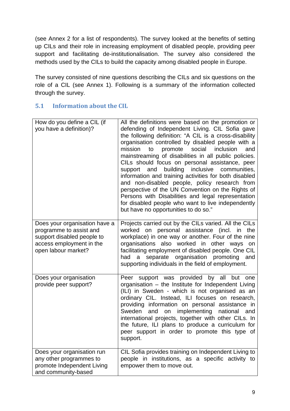(see Annex 2 for a list of respondents). The survey looked at the benefits of setting up CILs and their role in increasing employment of disabled people, providing peer support and facilitating de-institutionalisation. The survey also considered the methods used by the CILs to build the capacity among disabled people in Europe.

The survey consisted of nine questions describing the CILs and six questions on the role of a CIL (see Annex 1). Following is a summary of the information collected through the survey.

#### **5.1 Information about the CIL**

| How do you define a CIL (if<br>you have a definition)?                                                                                    | All the definitions were based on the promotion or<br>defending of Independent Living. CIL Sofia gave<br>the following definition: "A CIL is a cross-disability<br>organisation controlled by disabled people with a<br>mission<br>promote social<br>inclusion<br>to<br>and<br>mainstreaming of disabilities in all public policies.<br>CILs should focus on personal assistance, peer<br>building inclusive<br>support and<br>communities,<br>information and training activities for both disabled<br>and non-disabled people, policy research from<br>perspective of the UN Convention on the Rights of<br>Persons with Disabilities and legal representation<br>for disabled people who want to live independently<br>but have no opportunities to do so." |
|-------------------------------------------------------------------------------------------------------------------------------------------|----------------------------------------------------------------------------------------------------------------------------------------------------------------------------------------------------------------------------------------------------------------------------------------------------------------------------------------------------------------------------------------------------------------------------------------------------------------------------------------------------------------------------------------------------------------------------------------------------------------------------------------------------------------------------------------------------------------------------------------------------------------|
| Does your organisation have a<br>programme to assist and<br>support disabled people to<br>access employment in the<br>open labour market? | Projects carried out by the CILs varied. All the CILs<br>worked on personal assistance (incl. in<br>the<br>workplace) in one way or another. Four of the nine<br>organisations also worked in other ways<br>on<br>facilitating employment of disabled people. One CIL<br>separate organisation promoting<br>had a<br>and<br>supporting individuals in the field of employment.                                                                                                                                                                                                                                                                                                                                                                                 |
| Does your organisation<br>provide peer support?                                                                                           | Peer support was provided by all but one<br>organisation - the Institute for Independent Living<br>(ILI) in Sweden - which is not organised as an<br>ordinary CIL. Instead, ILI focuses on research,<br>providing information on personal assistance in<br>and<br>implementing<br>national<br>Sweden<br>on<br>and<br>international projects, together with other CILs. In<br>the future, ILI plans to produce a curriculum for<br>peer support in order to promote this type of<br>support.                                                                                                                                                                                                                                                                    |
| Does your organisation run<br>any other programmes to<br>promote Independent Living<br>and community-based                                | CIL Sofia provides training on Independent Living to<br>people in institutions, as a specific activity to<br>empower them to move out.                                                                                                                                                                                                                                                                                                                                                                                                                                                                                                                                                                                                                         |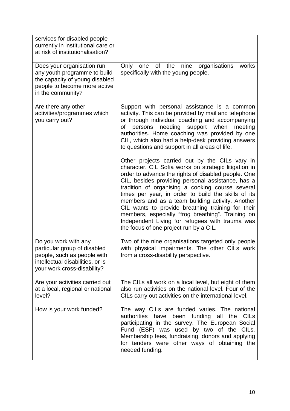| services for disabled people<br>currently in institutional care or<br>at risk of institutionalisation?                                                 |                                                                                                                                                                                                                                                                                                                                                                                                                                                                                                                                                                                           |  |  |
|--------------------------------------------------------------------------------------------------------------------------------------------------------|-------------------------------------------------------------------------------------------------------------------------------------------------------------------------------------------------------------------------------------------------------------------------------------------------------------------------------------------------------------------------------------------------------------------------------------------------------------------------------------------------------------------------------------------------------------------------------------------|--|--|
| Does your organisation run<br>any youth programme to build<br>the capacity of young disabled<br>people to become more active<br>in the community?      | one of the<br>Only<br>nine<br>organisations<br>works<br>specifically with the young people.                                                                                                                                                                                                                                                                                                                                                                                                                                                                                               |  |  |
| Are there any other<br>activities/programmes which<br>you carry out?                                                                                   | Support with personal assistance is a common<br>activity. This can be provided by mail and telephone<br>or through individual coaching and accompanying<br>persons needing support when<br>οf<br>meeting<br>authorities. Home coaching was provided by one<br>CIL, which also had a help-desk providing answers<br>to questions and support in all areas of life.                                                                                                                                                                                                                         |  |  |
|                                                                                                                                                        | Other projects carried out by the CILs vary in<br>character. CIL Sofia works on strategic litigation in<br>order to advance the rights of disabled people. One<br>CIL, besides providing personal assistance, has a<br>tradition of organising a cooking course several<br>times per year, in order to build the skills of its<br>members and as a team building activity. Another<br>CIL wants to provide breathing training for their<br>members, especially "frog breathing". Training on<br>Independent Living for refugees with trauma was<br>the focus of one project run by a CIL. |  |  |
| Do you work with any<br>particular group of disabled<br>people, such as people with<br>intellectual disabilities, or is<br>your work cross-disability? | Two of the nine organisations targeted only people<br>with physical impairments. The other CILs work<br>from a cross-disability perspective.                                                                                                                                                                                                                                                                                                                                                                                                                                              |  |  |
| Are your activities carried out<br>at a local, regional or national<br>level?                                                                          | The CILs all work on a local level, but eight of them<br>also run activities on the national level. Four of the<br>CILs carry out activities on the international level.                                                                                                                                                                                                                                                                                                                                                                                                                  |  |  |
| How is your work funded?                                                                                                                               | The way CILs are funded varies. The national<br>authorities<br>have been funding all<br>the CILs<br>participating in the survey. The European Social<br>Fund (ESF) was used by two of the CILs.<br>Membership fees, fundraising, donors and applying<br>for tenders were other ways of obtaining the<br>needed funding.                                                                                                                                                                                                                                                                   |  |  |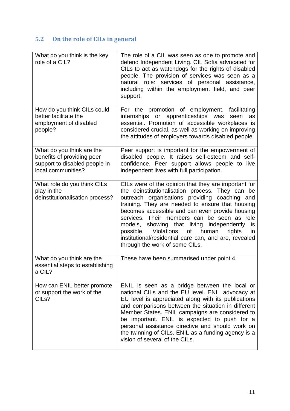# **5.2 On the role of CILs in general**

| What do you think is the key<br>role of a CIL?                                                                 | The role of a CIL was seen as one to promote and<br>defend Independent Living. CIL Sofia advocated for<br>CILs to act as watchdogs for the rights of disabled<br>people. The provision of services was seen as a<br>natural role: services of personal assistance,<br>including within the employment field, and peer<br>support.                                                                                                                                                                                                     |
|----------------------------------------------------------------------------------------------------------------|---------------------------------------------------------------------------------------------------------------------------------------------------------------------------------------------------------------------------------------------------------------------------------------------------------------------------------------------------------------------------------------------------------------------------------------------------------------------------------------------------------------------------------------|
| How do you think CILs could<br>better facilitate the<br>employment of disabled<br>people?                      | For the promotion of employment, facilitating<br>apprenticeships<br>internships or<br>was<br>seen<br>as<br>essential. Promotion of accessible workplaces is<br>considered crucial, as well as working on improving<br>the attitudes of employers towards disabled people.                                                                                                                                                                                                                                                             |
| What do you think are the<br>benefits of providing peer<br>support to disabled people in<br>local communities? | Peer support is important for the empowerment of<br>disabled people. It raises self-esteem and self-<br>confidence. Peer support allows people to live<br>independent lives with full participation.                                                                                                                                                                                                                                                                                                                                  |
| What role do you think CILs<br>play in the<br>deinstitutionalisation process?                                  | CILs were of the opinion that they are important for<br>the deinstitutionalisation process. They can be<br>outreach organisations providing coaching and<br>training. They are needed to ensure that housing<br>becomes accessible and can even provide housing<br>services. Their members can be seen as role<br>models, showing that living independently<br>is.<br><b>Violations</b><br>of<br>human<br>possible.<br>rights<br><i>in</i><br>institutional/residential care can, and are, revealed<br>through the work of some CILs. |
| What do you think are the<br>essential steps to establishing<br>a CIL?                                         | These have been summarised under point 4.                                                                                                                                                                                                                                                                                                                                                                                                                                                                                             |
| How can ENIL better promote<br>or support the work of the<br>CIL <sub>s</sub> ?                                | ENIL is seen as a bridge between the local or<br>national CILs and the EU level. ENIL advocacy at<br>EU level is appreciated along with its publications<br>and comparisons between the situation in different<br>Member States. ENIL campaigns are considered to<br>be important. ENIL is expected to push for a<br>personal assistance directive and should work on<br>the twinning of CILs. ENIL as a funding agency is a<br>vision of several of the CILs.                                                                        |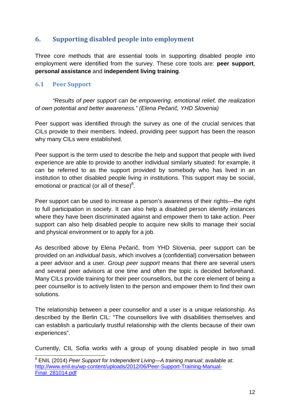## **6. Supporting disabled people into employment**

Three core methods that are essential tools in supporting disabled people into employment were identified from the survey. These core tools are: **peer support**, **personal assistance** and **independent living training**.

#### **6.1 Peer Support**

*"Results of peer support can be empowering, emotional relief, the realization of own potential and better awareness." (Elena Pečarič, YHD Slovenia)*

Peer support was identified through the survey as one of the crucial services that CILs provide to their members. Indeed, providing peer support has been the reason why many CILs were established.

Peer support is the term used to describe the help and support that people with lived experience are able to provide to another individual similarly situated: for example, it can be referred to as the support provided by somebody who has lived in an institution to other disabled people living in institutions. This support may be social, emotional or practical (or all of these) $8$ .

Peer support can be used to increase a person's awareness of their rights—the right to full participation in society. It can also help a disabled person identify instances where they have been discriminated against and empower them to take action. Peer support can also help disabled people to acquire new skills to manage their social and physical environment or to apply for a job.

As described above by Elena Pečarič, from YHD Slovenia, peer support can be provided on an *individual basis*, which involves a (confidential) conversation between a peer advisor and a user. *Group peer support* means that there are several users and several peer advisors at one time and often the topic is decided beforehand. Many CILs provide training for their peer counsellors, but the core element of being a peer counsellor is to actively listen to the person and empower them to find their own solutions.

The relationship between a peer counsellor and a user is a unique relationship. As described by the Berlin CIL: "The counsellors live with disabilities themselves and can establish a particularly trustful relationship with the clients because of their own experiences".

Currently, CIL Sofia works with a group of young disabled people in two small

<sup>8</sup> ENIL (2014) *Peer Support for Independent Living—A training manual*; available at: http://www.enil.eu/wp-content/uploads/2012/06/Peer-Support-Training-Manual-Final\_281014.pdf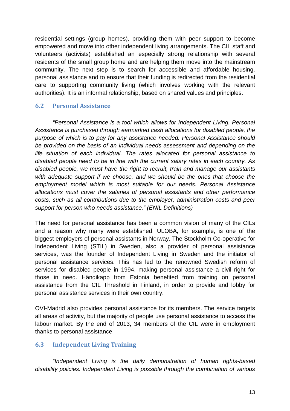residential settings (group homes), providing them with peer support to become empowered and move into other independent living arrangements. The CIL staff and volunteers (activists) established an especially strong relationship with several residents of the small group home and are helping them move into the mainstream community. The next step is to search for accessible and affordable housing, personal assistance and to ensure that their funding is redirected from the residential care to supporting community living (which involves working with the relevant authorities). It is an informal relationship, based on shared values and principles.

#### **6.2 Personal Assistance**

*"Personal Assistance is a tool which allows for Independent Living. Personal Assistance is purchased through earmarked cash allocations for disabled people, the purpose of which is to pay for any assistance needed. Personal Assistance should be provided on the basis of an individual needs assessment and depending on the life situation of each individual. The rates allocated for personal assistance to disabled people need to be in line with the current salary rates in each country. As disabled people, we must have the right to recruit, train and manage our assistants with adequate support if we choose, and we should be the ones that choose the employment model which is most suitable for our needs. Personal Assistance allocations must cover the salaries of personal assistants and other performance costs, such as all contributions due to the employer, administration costs and peer support for person who needs assistance." (ENIL Definitions)*

The need for personal assistance has been a common vision of many of the CILs and a reason why many were established. ULOBA, for example, is one of the biggest employers of personal assistants in Norway. The Stockholm Co-operative for Independent Living (STIL) in Sweden, also a provider of personal assistance services, was the founder of Independent Living in Sweden and the initiator of personal assistance services. This has led to the renowned Swedish reform of services for disabled people in 1994, making personal assistance a civil right for those in need. Händikapp from Estonia benefited from training on personal assistance from the CIL Threshold in Finland, in order to provide and lobby for personal assistance services in their own country.

OVI-Madrid also provides personal assistance for its members. The service targets all areas of activity, but the majority of people use personal assistance to access the labour market. By the end of 2013, 34 members of the CIL were in employment thanks to personal assistance.

#### **6.3 Independent Living Training**

*"Independent Living is the daily demonstration of human rights-based disability policies. Independent Living is possible through the combination of various*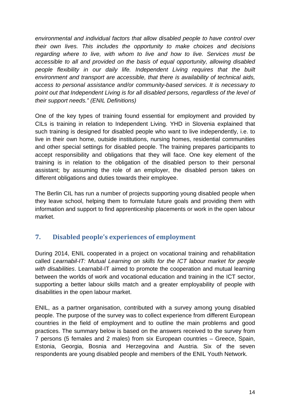*environmental and individual factors that allow disabled people to have control over their own lives. This includes the opportunity to make choices and decisions regarding where to live, with whom to live and how to live. Services must be accessible to all and provided on the basis of equal opportunity, allowing disabled people flexibility in our daily life. Independent Living requires that the built environment and transport are accessible, that there is availability of technical aids, access to personal assistance and/or community-based services. It is necessary to point out that Independent Living is for all disabled persons, regardless of the level of their support needs." (ENIL Definitions)*

One of the key types of training found essential for employment and provided by CILs is training in relation to Independent Living. YHD in Slovenia explained that such training is designed for disabled people who want to live independently, i.e. to live in their own home, outside institutions, nursing homes, residential communities and other special settings for disabled people. The training prepares participants to accept responsibility and obligations that they will face. One key element of the training is in relation to the obligation of the disabled person to their personal assistant; by assuming the role of an employer, the disabled person takes on different obligations and duties towards their employee.

The Berlin CIL has run a number of projects supporting young disabled people when they leave school, helping them to formulate future goals and providing them with information and support to find apprenticeship placements or work in the open labour market.

## **7. Disabled people's experiences of employment**

During 2014, ENIL cooperated in a project on vocational training and rehabilitation called *Learnabil-IT: Mutual Learning on skills for the ICT labour market for people with disabilities*. Learnabil-IT aimed to promote the cooperation and mutual learning between the worlds of work and vocational education and training in the ICT sector, supporting a better labour skills match and a greater employability of people with disabilities in the open labour market.

ENIL, as a partner organisation, contributed with a survey among young disabled people. The purpose of the survey was to collect experience from different European countries in the field of employment and to outline the main problems and good practices. The summary below is based on the answers received to the survey from 7 persons (5 females and 2 males) from six European countries – Greece, Spain, Estonia, Georgia, Bosnia and Herzegovina and Austria. Six of the seven respondents are young disabled people and members of the ENIL Youth Network.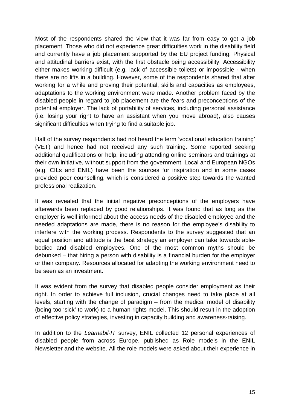Most of the respondents shared the view that it was far from easy to get a job placement. Those who did not experience great difficulties work in the disability field and currently have a job placement supported by the EU project funding. Physical and attitudinal barriers exist, with the first obstacle being accessibility. Accessibility either makes working difficult (e.g. lack of accessible toilets) or impossible - when there are no lifts in a building. However, some of the respondents shared that after working for a while and proving their potential, skills and capacities as employees, adaptations to the working environment were made. Another problem faced by the disabled people in regard to job placement are the fears and preconceptions of the potential employer. The lack of portability of services, including personal assistance (i.e. losing your right to have an assistant when you move abroad), also causes significant difficulties when trying to find a suitable job.

Half of the survey respondents had not heard the term 'vocational education training' (VET) and hence had not received any such training. Some reported seeking additional qualifications or help, including attending online seminars and trainings at their own initiative, without support from the government. Local and European NGOs (e.g. CILs and ENIL) have been the sources for inspiration and in some cases provided peer counselling, which is considered a positive step towards the wanted professional realization.

It was revealed that the initial negative preconceptions of the employers have afterwards been replaced by good relationships. It was found that as long as the employer is well informed about the access needs of the disabled employee and the needed adaptations are made, there is no reason for the employee's disability to interfere with the working process. Respondents to the survey suggested that an equal position and attitude is the best strategy an employer can take towards ablebodied and disabled employees. One of the most common myths should be debunked – that hiring a person with disability is a financial burden for the employer or their company. Resources allocated for adapting the working environment need to be seen as an investment.

It was evident from the survey that disabled people consider employment as their right. In order to achieve full inclusion, crucial changes need to take place at all levels, starting with the change of paradigm – from the medical model of disability (being too 'sick' to work) to a human rights model. This should result in the adoption of effective policy strategies, investing in capacity building and awareness-raising.

In addition to the *Learnabil-IT* survey, ENIL collected 12 personal experiences of disabled people from across Europe, published as Role models in the ENIL Newsletter and the website. All the role models were asked about their experience in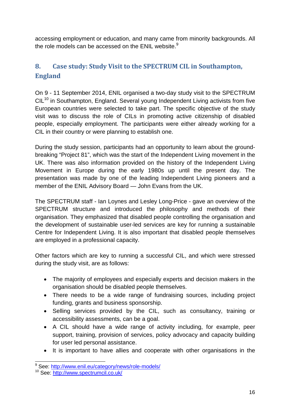accessing employment or education, and many came from minority backgrounds. All the role models can be accessed on the ENIL website. $9$ 

# **8. Case study: Study Visit to the SPECTRUM CIL in Southampton, England**

On 9 - 11 September 2014, ENIL organised a two-day study visit to the SPECTRUM  $ClL<sup>10</sup>$  in Southampton, England. Several young Independent Living activists from five European countries were selected to take part. The specific objective of the study visit was to discuss the role of CILs in promoting active citizenship of disabled people, especially employment. The participants were either already working for a CIL in their country or were planning to establish one.

During the study session, participants had an opportunity to learn about the groundbreaking "Project 81", which was the start of the Independent Living movement in the UK. There was also information provided on the history of the Independent Living Movement in Europe during the early 1980s up until the present day. The presentation was made by one of the leading Independent Living pioneers and a member of the ENIL Advisory Board — John Evans from the UK.

The SPECTRUM staff - Ian Loynes and Lesley Long-Price - gave an overview of the SPECTRUM structure and introduced the philosophy and methods of their organisation. They emphasized that disabled people controlling the organisation and the development of sustainable user-led services are key for running a sustainable Centre for Independent Living. It is also important that disabled people themselves are employed in a professional capacity.

Other factors which are key to running a successful CIL, and which were stressed during the study visit, are as follows:

- The majority of employees and especially experts and decision makers in the organisation should be disabled people themselves.
- There needs to be a wide range of fundraising sources, including project funding, grants and business sponsorship.
- Selling services provided by the CIL, such as consultancy, training or accessibility assessments, can be a goal.
- A CIL should have a wide range of activity including, for example, peer support, training, provision of services, policy advocacy and capacity building for user led personal assistance.
- It is important to have allies and cooperate with other organisations in the

<sup>&</sup>lt;sup>9</sup> See: http://www.enil.eu/category/news/role-models/

<sup>10</sup> See: http://www.spectrumcil.co.uk/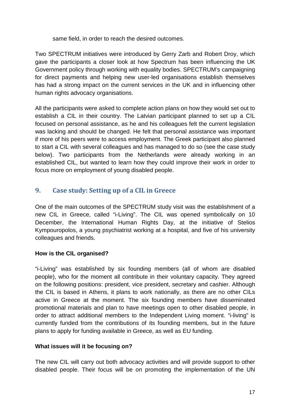same field, in order to reach the desired outcomes.

Two SPECTRUM initiatives were introduced by Gerry Zarb and Robert Droy, which gave the participants a closer look at how Spectrum has been influencing the UK Government policy through working with equality bodies. SPECTRUM's campaigning for direct payments and helping new user-led organisations establish themselves has had a strong impact on the current services in the UK and in influencing other human rights advocacy organisations.

All the participants were asked to complete action plans on how they would set out to establish a CIL in their country. The Latvian participant planned to set up a CIL focused on personal assistance, as he and his colleagues felt the current legislation was lacking and should be changed. He felt that personal assistance was important if more of his peers were to access employment. The Greek participant also planned to start a CIL with several colleagues and has managed to do so (see the case study below). Two participants from the Netherlands were already working in an established CIL, but wanted to learn how they could improve their work in order to focus more on employment of young disabled people.

## **9. Case study: Setting up of a CIL in Greece**

One of the main outcomes of the SPECTRUM study visit was the establishment of a new CIL in Greece, called "i-Living". The CIL was opened symbolically on 10 December, the International Human Rights Day, at the initiative of Stelios Kympouropolos, a young psychiatrist working at a hospital, and five of his university colleagues and friends.

#### **How is the CIL organised?**

"i-Living" was established by six founding members (all of whom are disabled people), who for the moment all contribute in their voluntary capacity. They agreed on the following positions: president, vice president, secretary and cashier. Although the CIL is based in Athens, it plans to work nationally, as there are no other CILs active in Greece at the moment. The six founding members have disseminated promotional materials and plan to have meetings open to other disabled people, in order to attract additional members to the Independent Living moment. "i-living" is currently funded from the contributions of its founding members, but in the future plans to apply for funding available in Greece, as well as EU funding.

#### **What issues will it be focusing on?**

The new CIL will carry out both advocacy activities and will provide support to other disabled people. Their focus will be on promoting the implementation of the UN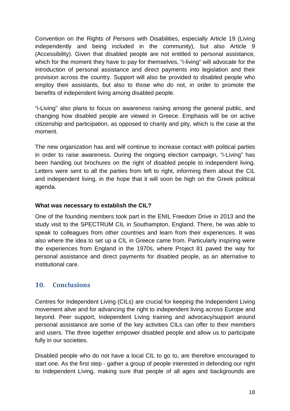Convention on the Rights of Persons with Disabilities, especially Article 19 (Living independently and being included in the community), but also Article 9 (Accessibility). Given that disabled people are not entitled to personal assistance, which for the moment they have to pay for themselves, "i-living" will advocate for the introduction of personal assistance and direct payments into legislation and their provision across the country. Support will also be provided to disabled people who employ their assistants, but also to those who do not, in order to promote the benefits of independent living among disabled people.

"i-Living" also plans to focus on awareness raising among the general public, and changing how disabled people are viewed in Greece. Emphasis will be on active citizenship and participation, as opposed to charity and pity, which is the case at the moment.

The new organization has and will continue to increase contact with political parties in order to raise awareness. During the ongoing election campaign, "i-Living" has been handing out brochures on the right of disabled people to independent living. Letters were sent to all the parties from left to right, informing them about the CIL and independent living, in the hope that it will soon be high on the Greek political agenda.

#### **What was necessary to establish the CIL?**

One of the founding members took part in the ENIL Freedom Drive in 2013 and the study visit to the SPECTRUM CIL in Southampton, England. There, he was able to speak to colleagues from other countries and learn from their experiences. It was also where the idea to set up a CIL in Greece came from. Particularly inspiring were the experiences from England in the 1970s, where Project 81 paved the way for personal assistance and direct payments for disabled people, as an alternative to institutional care.

#### **10. Conclusions**

Centres for Independent Living (CILs) are crucial for keeping the Independent Living movement alive and for advancing the right to independent living across Europe and beyond. Peer support, Independent Living training and advocacy/support around personal assistance are some of the key activities CILs can offer to their members and users. The three together empower disabled people and allow us to participate fully in our societies.

Disabled people who do not have a local CIL to go to, are therefore encouraged to start one. As the first step - gather a group of people interested in defending our right to Independent Living, making sure that people of all ages and backgrounds are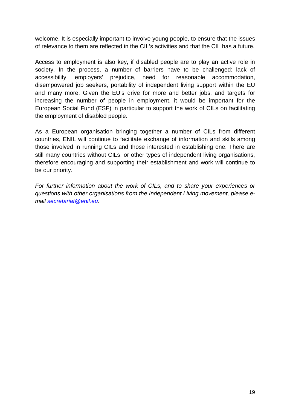welcome. It is especially important to involve young people, to ensure that the issues of relevance to them are reflected in the CIL's activities and that the CIL has a future.

Access to employment is also key, if disabled people are to play an active role in society. In the process, a number of barriers have to be challenged: lack of accessibility, employers' prejudice, need for reasonable accommodation, disempowered job seekers, portability of independent living support within the EU and many more. Given the EU's drive for more and better jobs, and targets for increasing the number of people in employment, it would be important for the European Social Fund (ESF) in particular to support the work of CILs on facilitating the employment of disabled people.

As a European organisation bringing together a number of CILs from different countries, ENIL will continue to facilitate exchange of information and skills among those involved in running CILs and those interested in establishing one. There are still many countries without CILs, or other types of independent living organisations, therefore encouraging and supporting their establishment and work will continue to be our priority.

*For further information about the work of CILs, and to share your experiences or questions with other organisations from the Independent Living movement, please email secretariat@enil.eu.*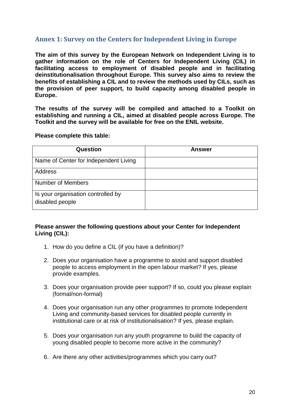#### **Annex 1: Survey on the Centers for Independent Living in Europe**

**The aim of this survey by the European Network on Independent Living is to gather information on the role of Centers for Independent Living (CIL) in facilitating access to employment of disabled people and in facilitating deinstitutionalisation throughout Europe. This survey also aims to review the benefits of establishing a CIL and to review the methods used by CILs, such as the provision of peer support, to build capacity among disabled people in Europe.**

**The results of the survey will be compiled and attached to a Toolkit on establishing and running a CIL, aimed at disabled people across Europe. The Toolkit and the survey will be available for free on the ENIL website.**

**Please complete this table:**

| Question                                              | <b>Answer</b> |
|-------------------------------------------------------|---------------|
| Name of Center for Independent Living                 |               |
| Address                                               |               |
| Number of Members                                     |               |
| Is your organisation controlled by<br>disabled people |               |

#### **Please answer the following questions about your Center for Independent Living (CIL):**

- 1. How do you define a CIL (if you have a definition)?
- 2. Does your organisation have a programme to assist and support disabled people to access employment in the open labour market? If yes, please provide examples.
- 3. Does your organisation provide peer support? If so, could you please explain (formal/non-formal)
- 4. Does your organisation run any other programmes to promote Independent Living and community-based services for disabled people currently in institutional care or at risk of institutionalisation? If yes, please explain.
- 5. Does your organisation run any youth programme to build the capacity of young disabled people to become more active in the community?
- 6. Are there any other activities/programmes which you carry out?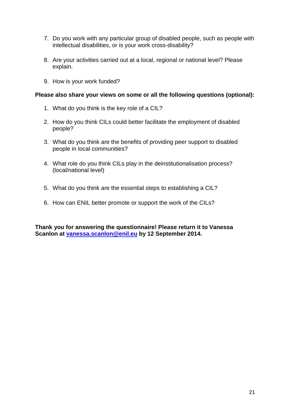- 7. Do you work with any particular group of disabled people, such as people with intellectual disabilities, or is your work cross-disability?
- 8. Are your activities carried out at a local, regional or national level? Please explain.
- 9. How is your work funded?

#### **Please also share your views on some or all the following questions (optional):**

- 1. What do you think is the key role of a CIL?
- 2. How do you think CILs could better facilitate the employment of disabled people?
- 3. What do you think are the benefits of providing peer support to disabled people in local communities?
- 4. What role do you think CILs play in the deinstitutionalisation process? (local/national level)
- 5. What do you think are the essential steps to establishing a CIL?
- 6. How can ENIL better promote or support the work of the CILs?

**Thank you for answering the questionnaire! Please return it to Vanessa Scanlon at vanessa.scanlon@enil.eu by 12 September 2014.**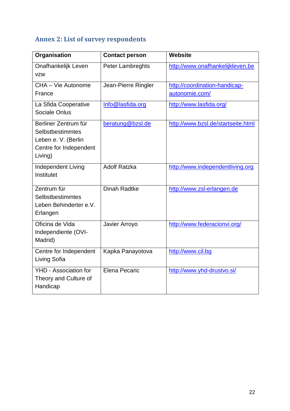# **Annex 2: List of survey respondents**

| <b>Organisation</b>                                                                                  | <b>Contact person</b> | <b>Website</b>                                  |
|------------------------------------------------------------------------------------------------------|-----------------------|-------------------------------------------------|
| Onafhankelijk Leven<br><b>VZW</b>                                                                    | Peter Lambreghts      | http://www.onafhankelijkleven.be                |
| CHA - Vie Autonome<br>France                                                                         | Jean-Pierre Ringler   | http://coordination-handicap-<br>autonomie.com/ |
| La Sfida Cooperative<br>Sociale Onlus                                                                | Info@lasfida.org      | http://www.lasfida.org/                         |
| Berliner Zentrum für<br>Selbstbestimmtes<br>Leben e. V. (Berlin<br>Centre for Independent<br>Living) | beratung@bzsl.de      | http://www.bzsl.de/startseite.html              |
| Independent Living<br>Institutet                                                                     | <b>Adolf Ratzka</b>   | http://www.independentliving.org                |
| Zentrum für<br>Selbstbestimmtes<br>Leben Behinderter e.V.<br>Erlangen                                | <b>Dinah Radtke</b>   | http://www.zsl-erlangen.de                      |
| Oficina de Vida<br>Independiente (OVI-<br>Madrid)                                                    | Javier Arroyo         | http://www.federacionvi.org/                    |
| Centre for Independent<br>Living Sofia                                                               | Kapka Panayotova      | http://www.cil.bg                               |
| YHD - Association for<br>Theory and Culture of<br>Handicap                                           | <b>Elena Pecaric</b>  | http://www.yhd-drustvo.si/                      |